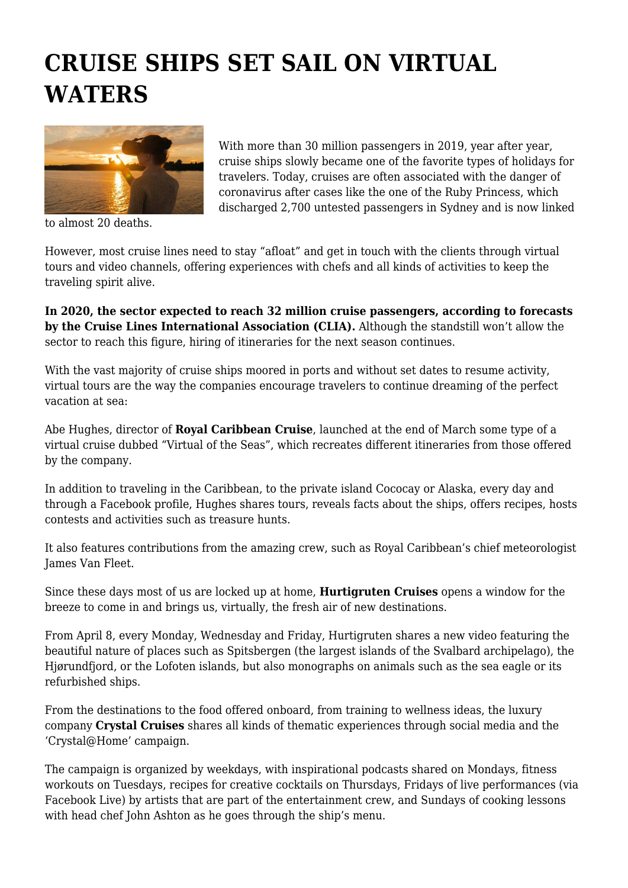## **CRUISE SHIPS SET SAIL ON VIRTUAL WATERS**



to almost 20 deaths.

With more than 30 million passengers in 2019, year after year, cruise ships slowly became one of the favorite types of holidays for travelers. Today, cruises are often associated with the danger of coronavirus after cases like the one of the Ruby Princess, which discharged 2,700 untested passengers in Sydney and is now linked

However, most cruise lines need to stay "afloat" and get in touch with the clients through virtual tours and video channels, offering experiences with chefs and all kinds of activities to keep the traveling spirit alive.

**In 2020, the sector expected to reach 32 million cruise passengers, according to forecasts by the Cruise Lines International Association (CLIA).** Although the standstill won't allow the sector to reach this figure, hiring of itineraries for the next season continues.

With the vast majority of cruise ships moored in ports and without set dates to resume activity, virtual tours are the way the companies encourage travelers to continue dreaming of the perfect vacation at sea:

Abe Hughes, director of **Royal Caribbean Cruise**, launched at the end of March some type of a virtual cruise dubbed "Virtual of the Seas", which recreates different itineraries from those offered by the company.

In addition to traveling in the Caribbean, to the private island Cococay or Alaska, every day and through a Facebook profile, Hughes shares tours, reveals facts about the ships, offers recipes, hosts contests and activities such as treasure hunts.

It also features contributions from the amazing crew, such as Royal Caribbean's chief meteorologist James Van Fleet.

Since these days most of us are locked up at home, **Hurtigruten Cruises** opens a window for the breeze to come in and brings us, virtually, the fresh air of new destinations.

From April 8, every Monday, Wednesday and Friday, Hurtigruten shares a new video featuring the beautiful nature of places such as Spitsbergen (the largest islands of the Svalbard archipelago), the Hjørundfjord, or the Lofoten islands, but also monographs on animals such as the sea eagle or its refurbished ships.

From the destinations to the food offered onboard, from training to wellness ideas, the luxury company **Crystal Cruises** shares all kinds of thematic experiences through social media and the 'Crystal@Home' campaign.

The campaign is organized by weekdays, with inspirational podcasts shared on Mondays, fitness workouts on Tuesdays, recipes for creative cocktails on Thursdays, Fridays of live performances (via Facebook Live) by artists that are part of the entertainment crew, and Sundays of cooking lessons with head chef John Ashton as he goes through the ship's menu.